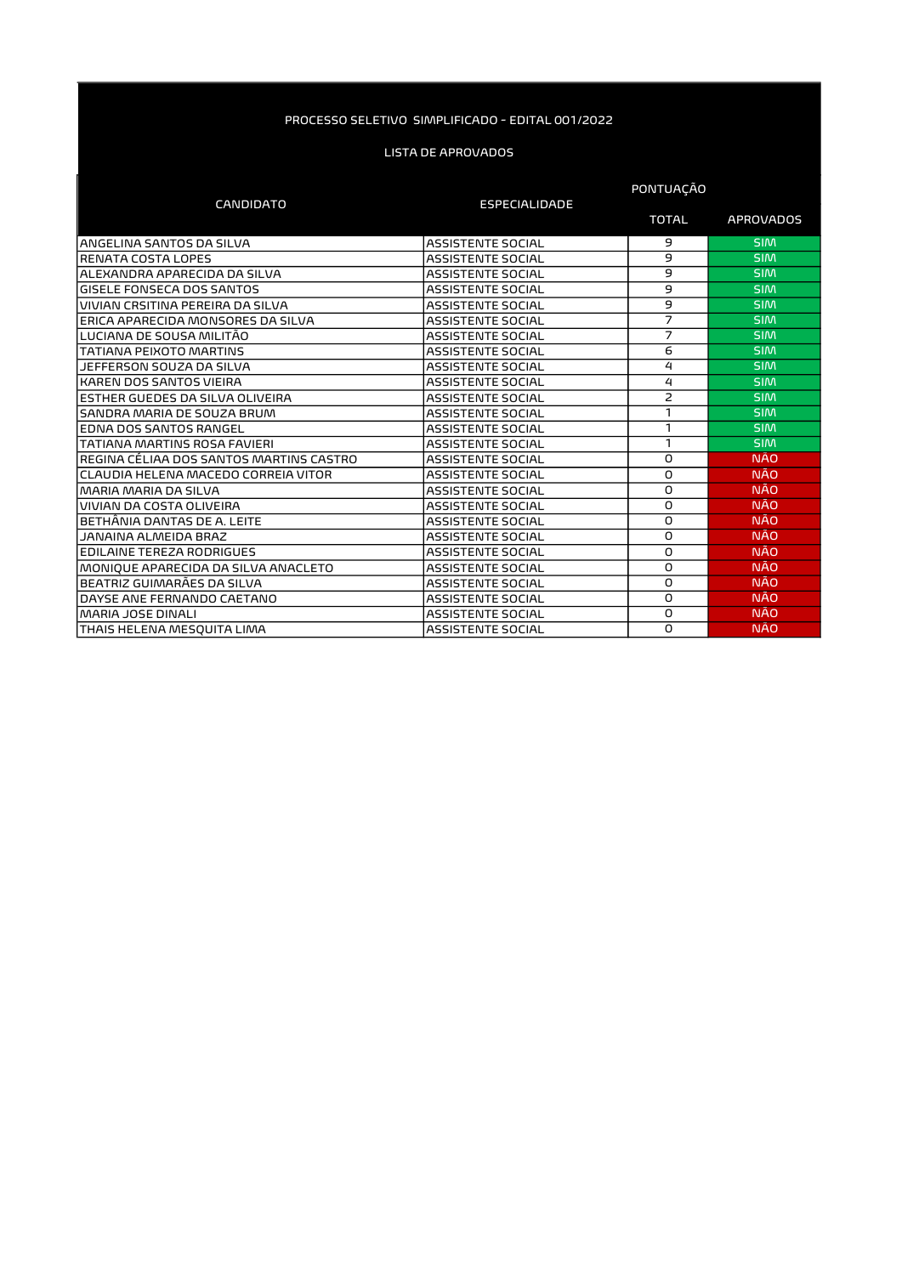|                                         | PONTUAÇAO                |                |                  |
|-----------------------------------------|--------------------------|----------------|------------------|
| <b>CANDIDATO</b>                        | <b>ESPECIALIDADE</b>     |                |                  |
|                                         |                          | <b>TOTAL</b>   | <b>APROVADOS</b> |
| ANGELINA SANTOS DA SILVA                | <b>ASSISTENTE SOCIAL</b> | 9              | <b>SIM</b>       |
| <b>RENATA COSTA LOPES</b>               | <b>ASSISTENTE SOCIAL</b> | 9              | <b>SIM</b>       |
| ALEXANDRA APARECIDA DA SILVA            | <b>ASSISTENTE SOCIAL</b> | 9              | <b>SIM</b>       |
| GISELE FONSECA DOS SANTOS               | <b>ASSISTENTE SOCIAL</b> | 9              | <b>SIM</b>       |
| VIVIAN CRSITINA PEREIRA DA SILVA        | <b>ASSISTENTE SOCIAL</b> | 9              | <b>SIM</b>       |
| ERICA APARECIDA MONSORES DA SILVA       | <b>ASSISTENTE SOCIAL</b> | $\overline{7}$ | <b>SIM</b>       |
| LUCIANA DE SOUSA MILITÃO                | <b>ASSISTENTE SOCIAL</b> | 7              | <b>SIM</b>       |
| <b>TATIANA PEIXOTO MARTINS</b>          | <b>ASSISTENTE SOCIAL</b> | 6              | <b>SIM</b>       |
| JEFFERSON SOUZA DA SILVA                | <b>ASSISTENTE SOCIAL</b> | $\overline{4}$ | <b>SIM</b>       |
| <b>KAREN DOS SANTOS VIEIRA</b>          | <b>ASSISTENTE SOCIAL</b> | $\overline{4}$ | <b>SIM</b>       |
| ESTHER GUEDES DA SILVA OLIVEIRA         | <b>ASSISTENTE SOCIAL</b> | $\overline{2}$ | <b>SIM</b>       |
| SANDRA MARIA DE SOUZA BRUM              | <b>ASSISTENTE SOCIAL</b> | 1              | <b>SIM</b>       |
| EDNA DOS SANTOS RANGEL                  | <b>ASSISTENTE SOCIAL</b> | $\mathbf{1}$   | <b>SIM</b>       |
| <b>TATIANA MARTINS ROSA FAVIERI</b>     | <b>ASSISTENTE SOCIAL</b> | $\mathbf{1}$   | <b>SIM</b>       |
| REGINA CÉLIAA DOS SANTOS MARTINS CASTRO | <b>ASSISTENTE SOCIAL</b> | O              | <b>NÃO</b>       |
| CLAUDIA HELENA MACEDO CORREIA VITOR     | <b>ASSISTENTE SOCIAL</b> | O              | <b>NÃO</b>       |
| <b>MARIA MARIA DA SILVA</b>             | <b>ASSISTENTE SOCIAL</b> | O              | <b>NÃO</b>       |
| VIVIAN DA COSTA OLIVEIRA                | <b>ASSISTENTE SOCIAL</b> | O              | <b>NÃO</b>       |
| BETHÂNIA DANTAS DE A. LEITE             | <b>ASSISTENTE SOCIAL</b> | O              | <b>NÃO</b>       |
| JANAINA ALMEIDA BRAZ                    | <b>ASSISTENTE SOCIAL</b> | O              | <b>NÃO</b>       |
| EDILAINE TEREZA RODRIGUES               | <b>ASSISTENTE SOCIAL</b> | O              | <b>NÃO</b>       |
| MONIQUE APARECIDA DA SILVA ANACLETO     | <b>ASSISTENTE SOCIAL</b> | O              | <b>NÃO</b>       |
| BEATRIZ GUIMARÃES DA SILVA              | <b>ASSISTENTE SOCIAL</b> | O              | <b>NÃO</b>       |
| DAYSE ANE FERNANDO CAETANO              | <b>ASSISTENTE SOCIAL</b> | O              | <b>NÃO</b>       |
| MARIA JOSE DINALI                       | <b>ASSISTENTE SOCIAL</b> | O              | <b>NÃO</b>       |
| THAIS HELENA MESOUITA LIMA              | <b>ASSISTENTE SOCIAL</b> | O              | <b>NÃO</b>       |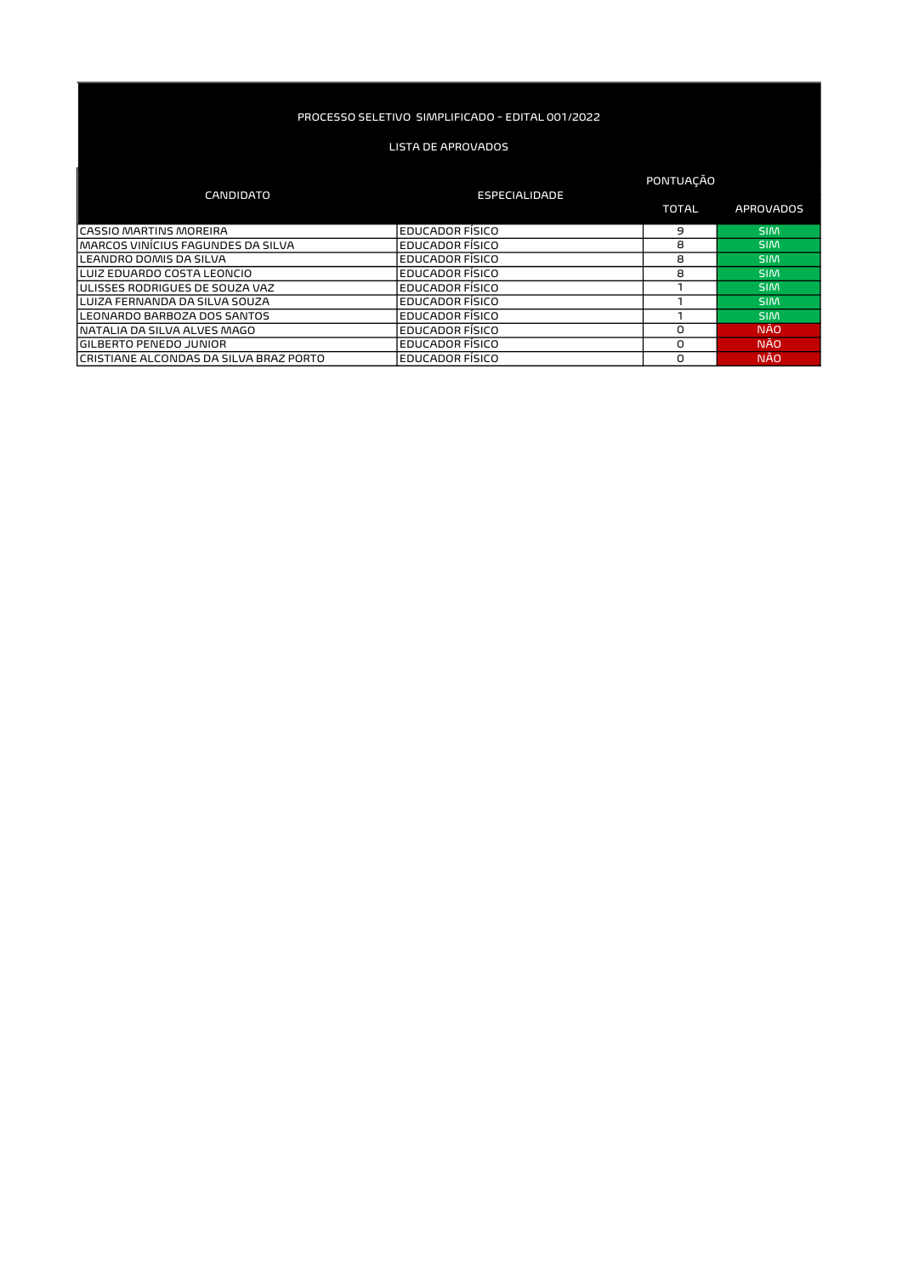#### LISTA DE APROVADOS

#### TOTAL APROVADOS CASSIO MARTINS MOREIRA EN EDUCADOR FÍSICO EN ENTRE EN ENGLACIÓN DE LOS EN ENGLACIÓNS EN ENGLACIÓN EN ENGLACIÓN MARCOS VINÍCIUS FAGUNDES DA SILVA EDUCADOR FÍSICO EN EDUCADOR FÍSICO EN ENTRE O SIMPLES DA SIMPLES EN ENTRE E LEANDRO DOMIS DA SILVA EDUCADOR FÍSICO EL ENTRE EN SIMILADOR FÍSICO EL ENTRE EN SIMILADOR FÍSICO EL ENTRE EN S<br>EDUCADOR FÍSICO EL ENTRE EN SIMILADOR FÍSICO EL ENTRE EN SIMILADOR FÍSICO EL ENTRE EN SIMILADOR FÍSICO EL ENTR LUIZ EDUARDO COSTA LEONCIO<br>LUIZ EDUARDO COSTA LEONCIO PORTE EDUCADOR FÍSICO EDUCADOR FÍSICO EN EN EN EN SIMPLEMENTO DE SIMPLEMENTO EDUCADOR FÍSICO EN EN EN EN EN SIMPLEMENTO DE SIMPLEMENTO DE SIMPLEMENTO EN EN EN EN EN EN ULISSES RODRIGUES DE SOUZA VAZ EDUCADOR FÍSICO 1 SIM LUIZA FERNANDA DA SILVA SOUZA EDUCADOR FÍSICO 1 SIM LEONARDO BARBOZA DOS SANTOS EDUCADOR FÍSICO 1 SIM NATALIA DA SILVA ALVES MAGO EDUCADOR FÍSICO DE EDUCADOR FÍSICO DE ENÃO DE ENÃO EDUCADOR FÍSICO DE ENÃO DE ENÃO<br>GILBERTO PENEDO JUNIOR GILBERTO PENEDO JUNIOR<br>CRISTIANE ALCONDAS DA SILVA BRAZ PORTO EDUCADOR FÍSICO DE CONSTITUIDO DE MÃO DA MÃO DE MÃO CRISTIANE ALCONDAS DA SILVA BRAZ PORTO CANDIDATO ESPECIALIDADE PONTUAÇÃO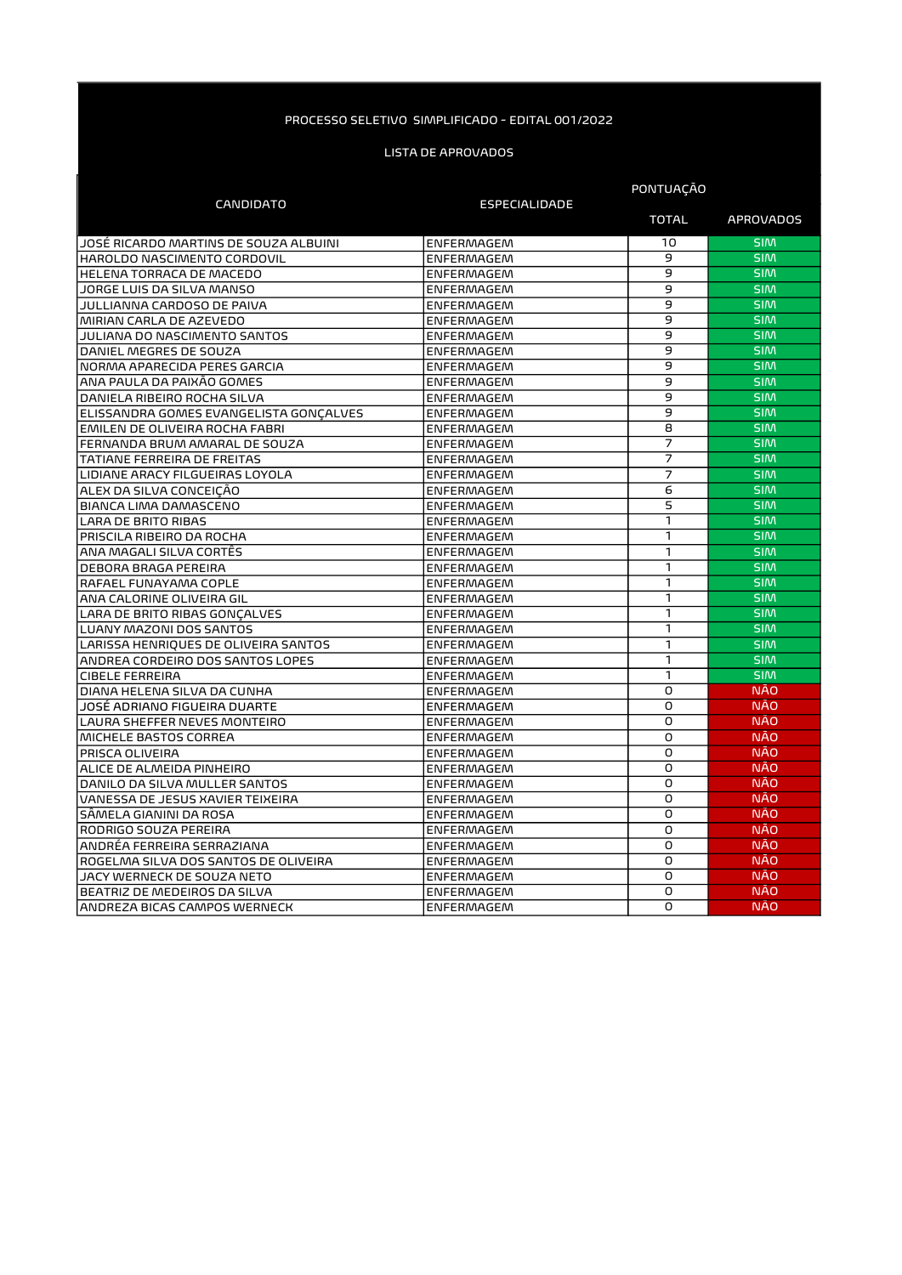|                                        | <b>CANDIDATO</b>     |                | <b>PONTUAÇAO</b> |  |
|----------------------------------------|----------------------|----------------|------------------|--|
|                                        | <b>ESPECIALIDADE</b> | <b>TOTAL</b>   | <b>APROVADOS</b> |  |
| JOSĖ RICARDO MARTINS DE SOUZA ALBUINI  | <b>ENFERMAGEM</b>    | 10             | <b>SIM</b>       |  |
| HAROLDO NASCIMENTO CORDOVIL            | <b>ENFERMAGEM</b>    | 9              | <b>SIM</b>       |  |
| HELENA TORRACA DE MACEDO               | <b>ENFERMAGEM</b>    | 9              | <b>SIM</b>       |  |
| JORGE LUIS DA SILVA MANSO              | <b>ENFERMAGEM</b>    | $\overline{9}$ | <b>SIM</b>       |  |
| JULLIANNA CARDOSO DE PAIVA             | <b>ENFERMAGEM</b>    | 9              | <b>SIM</b>       |  |
| MIRIAN CARLA DE AZEVEDO                | <b>ENFERMAGEM</b>    | 9              | <b>SIM</b>       |  |
| JULIANA DO NASCIMENTO SANTOS           | <b>ENFERMAGEM</b>    | $\overline{9}$ | <b>SIM</b>       |  |
| DANIEL MEGRES DE SOUZA                 | <b>ENFERMAGEM</b>    | 9              | <b>SIM</b>       |  |
| NORMA APARECIDA PERES GARCIA           | <b>ENFERMAGEM</b>    | 9              | <b>SIM</b>       |  |
| ANA PAULA DA PAIXÃO GOMES              | <b>ENFERMAGEM</b>    | 9              | <b>SIM</b>       |  |
| DANIELA RIBEIRO ROCHA SILVA            | <b>ENFERMAGEM</b>    | $\overline{9}$ | <b>SIM</b>       |  |
| ELISSANDRA GOMES EVANGELISTA GONCALVES | <b>ENFERMAGEM</b>    | 9              | <b>SIM</b>       |  |
| EMILEN DE OLIVEIRA ROCHA FABRI         | <b>ENFERMAGEM</b>    | 8              | <b>SIM</b>       |  |
| FERNANDA BRUM AMARAL DE SOUZA          | <b>ENFERMAGEM</b>    | $\overline{7}$ | <b>SIM</b>       |  |
| TATIANE FERREIRA DE FREITAS            | <b>ENFERMAGEM</b>    | $\overline{7}$ | <b>SIM</b>       |  |
| LIDIANE ARACY FILGUEIRAS LOYOLA        | <b>ENFERMAGEM</b>    | $\overline{7}$ | <b>SIM</b>       |  |
| ALEX DA SILVA CONCEIÇÃO                | <b>ENFERMAGEM</b>    | 6              | <b>SIM</b>       |  |
| BIANCA LIMA DAMASCENO                  | <b>ENFERMAGEM</b>    | 5              | <b>SIM</b>       |  |
| <b>LARA DE BRITO RIBAS</b>             | <b>ENFERMAGEM</b>    | 1              | <b>SIM</b>       |  |
| PRISCILA RIBEIRO DA ROCHA              | <b>ENFERMAGEM</b>    | 1              | <b>SIM</b>       |  |
| ANA MAGALI SILVA CORTÊS                | <b>ENFERMAGEM</b>    | 1              | <b>SIM</b>       |  |
| <b>DEBORA BRAGA PEREIRA</b>            | <b>ENFERMAGEM</b>    | 1              | <b>SIM</b>       |  |
| RAFAEL FUNAYAMA COPLE                  | <b>ENFERMAGEM</b>    | $\mathbf{1}$   | <b>SIM</b>       |  |
| ANA CALORINE OLIVEIRA GIL              | <b>ENFERMAGEM</b>    | $\mathbf{1}$   | <b>SIM</b>       |  |
| LARA DE BRITO RIBAS GONCALVES          | <b>ENFERMAGEM</b>    | $\mathbf{1}$   | <b>SIM</b>       |  |
| LUANY MAZONI DOS SANTOS                | <b>ENFERMAGEM</b>    | 1              | <b>SIM</b>       |  |
| LARISSA HENRIQUES DE OLIVEIRA SANTOS   | <b>ENFERMAGEM</b>    | 1              | <b>SIM</b>       |  |
| ANDREA CORDEIRO DOS SANTOS LOPES       | <b>ENFERMAGEM</b>    | $\mathbf{1}$   | <b>SIM</b>       |  |
| <b>CIBELE FERREIRA</b>                 | <b>ENFERMAGEM</b>    | $\mathbf{1}$   | <b>SIM</b>       |  |
| DIANA HELENA SILVA DA CUNHA            | <b>ENFERMAGEM</b>    | $\overline{O}$ | <b>NÃO</b>       |  |
| JOSÉ ADRIANO FIGUEIRA DUARTE           | <b>ENFERMAGEM</b>    | O              | <b>NÃO</b>       |  |
| LAURA SHEFFER NEVES MONTEIRO           | <b>ENFERMAGEM</b>    | O              | <b>NÃO</b>       |  |
| MICHELE BASTOS CORREA                  | <b>ENFERMAGEM</b>    | O              | <b>NÃO</b>       |  |
| PRISCA OLIVEIRA                        | <b>ENFERMAGEM</b>    | O              | <b>NÃO</b>       |  |
| ALICE DE ALMEIDA PINHEIRO              | <b>ENFERMAGEM</b>    | $\overline{0}$ | <b>NÃO</b>       |  |
| DANILO DA SILVA MULLER SANTOS          | <b>ENFERMAGEM</b>    | $\overline{0}$ | <b>NÃO</b>       |  |
| VANESSA DE JESUS XAVIER TEIXEIRA       | <b>ENFERMAGEM</b>    | O              | <b>NÃO</b>       |  |
| SÂMELA GIANINI DA ROSA                 | <b>ENFERMAGEM</b>    | O              | <b>NÃO</b>       |  |
| RODRIGO SOUZA PEREIRA                  | <b>ENFERMAGEM</b>    | O              | <b>NÃO</b>       |  |
| ANDRÉA FERREIRA SERRAZIANA             | <b>ENFERMAGEM</b>    | O              | <b>NÃO</b>       |  |
| ROGELMA SILVA DOS SANTOS DE OLIVEIRA   | <b>ENFERMAGEM</b>    | O              | <b>NÃO</b>       |  |
| JACY WERNECK DE SOUZA NETO             | <b>ENFERMAGEM</b>    | $\Omega$       | <b>NÃO</b>       |  |
| BEATRIZ DE MEDEIROS DA SILVA           | <b>ENFERMAGEM</b>    | O              | <b>NÃO</b>       |  |
| ANDREZA BICAS CAMPOS WERNECK           | <b>ENFERMAGEM</b>    | O              | <b>NÃO</b>       |  |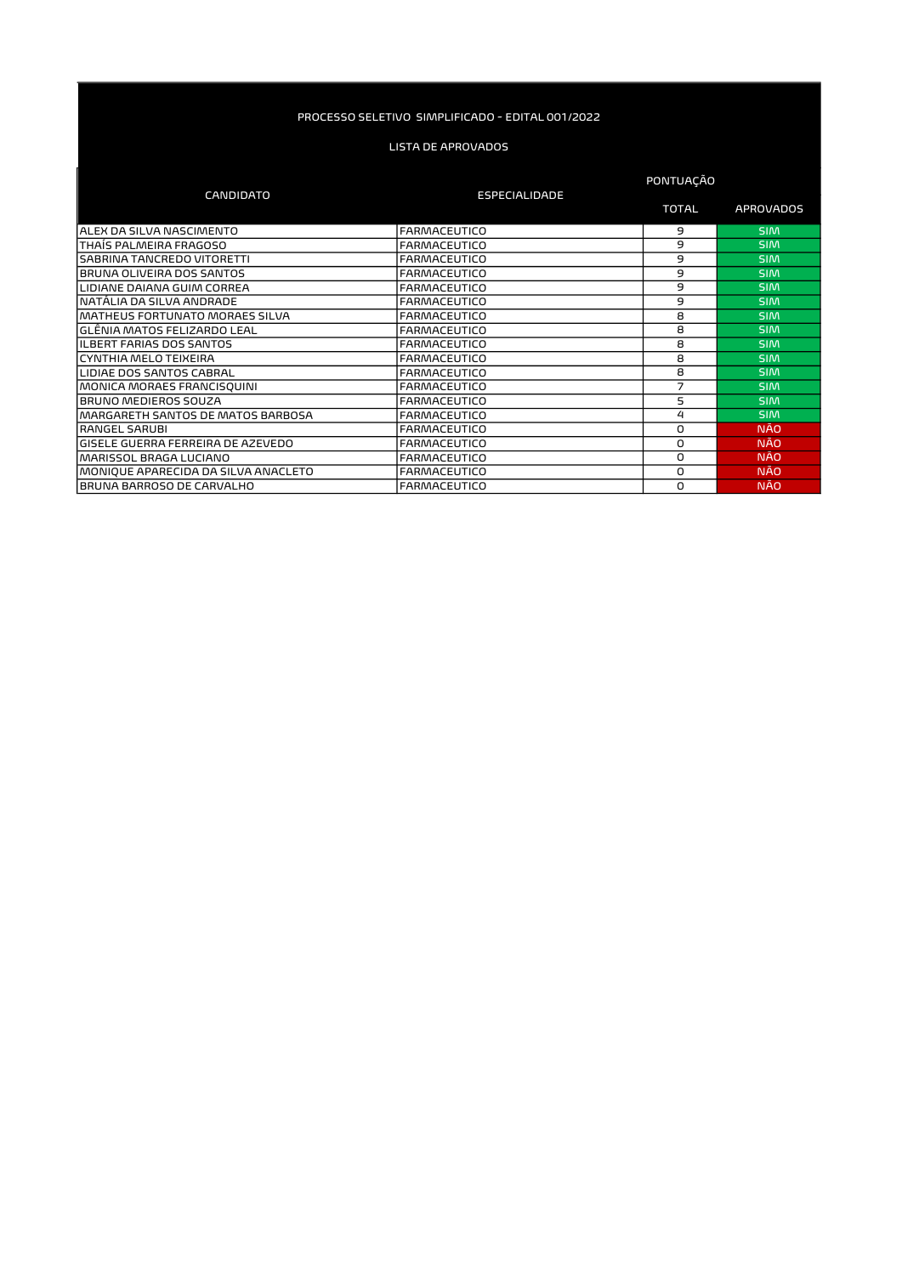|                                     |                      | PONTUAÇÃO    |                  |
|-------------------------------------|----------------------|--------------|------------------|
| <b>CANDIDATO</b>                    | <b>ESPECIALIDADE</b> | <b>TOTAL</b> | <b>APROVADOS</b> |
| ALEX DA SILVA NASCIMENTO            | <b>FARMACEUTICO</b>  | 9            | <b>SIM</b>       |
| THAÍS PALMEIRA FRAGOSO              | <b>FARMACEUTICO</b>  | 9            | <b>SIM</b>       |
| SABRINA TANCREDO VITORETTI          | <b>FARMACEUTICO</b>  | 9            | <b>SIM</b>       |
| BRUNA OLIVEIRA DOS SANTOS           | <b>FARMACEUTICO</b>  | 9            | <b>SIM</b>       |
| LIDIANE DAIANA GUIM CORREA          | <b>FARMACEUTICO</b>  | 9            | <b>SIM</b>       |
| NATÁLIA DA SILVA ANDRADE            | <b>FARMACEUTICO</b>  | 9            | <b>SIM</b>       |
| MATHEUS FORTUNATO MORAES SILVA      | <b>FARMACEUTICO</b>  | 8            | <b>SIM</b>       |
| GLÊNIA MATOS FELIZARDO LEAL         | <b>FARMACEUTICO</b>  | 8            | <b>SIM</b>       |
| <b>ILBERT FARIAS DOS SANTOS</b>     | <b>FARMACEUTICO</b>  | 8            | <b>SIM</b>       |
| CYNTHIA MELO TEIXEIRA               | <b>FARMACEUTICO</b>  | 8            | <b>SIM</b>       |
| LIDIAE DOS SANTOS CABRAL            | <b>FARMACEUTICO</b>  | 8            | <b>SIM</b>       |
| MONICA MORAES FRANCISQUINI          | <b>FARMACEUTICO</b>  | 7            | <b>SIM</b>       |
| BRUNO MEDIEROS SOUZA                | <b>FARMACEUTICO</b>  | 5            | <b>SIM</b>       |
| MARGARETH SANTOS DE MATOS BARBOSA   | <b>FARMACEUTICO</b>  | 4            | <b>SIM</b>       |
| RANGEL SARUBI                       | <b>FARMACEUTICO</b>  | O            | <b>NÃO</b>       |
| GISELE GUERRA FERREIRA DE AZEVEDO   | <b>FARMACEUTICO</b>  | 0            | <b>NÃO</b>       |
| MARISSOL BRAGA LUCIANO              | <b>FARMACEUTICO</b>  | 0            | <b>NÃO</b>       |
| MONIQUE APARECIDA DA SILVA ANACLETO | <b>FARMACEUTICO</b>  | 0            | <b>NÃO</b>       |
| BRUNA BARROSO DE CARVALHO           | <b>FARMACEUTICO</b>  | 0            | <b>NÃO</b>       |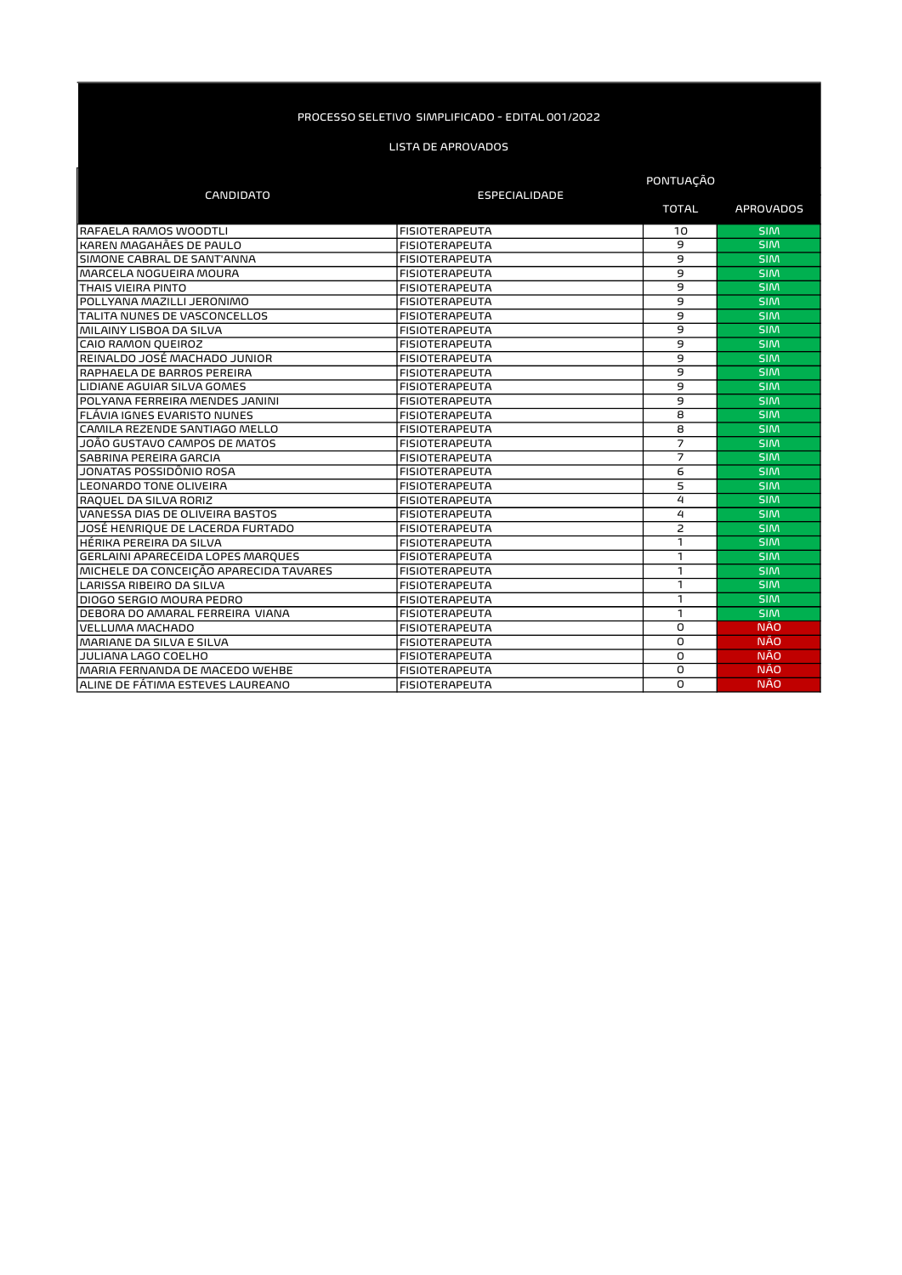|                                        |                       | PONTUAÇÃO      |                  |
|----------------------------------------|-----------------------|----------------|------------------|
| <b>CANDIDATO</b>                       | <b>ESPECIALIDADE</b>  | <b>TOTAL</b>   | <b>APROVADOS</b> |
| RAFAELA RAMOS WOODTLI                  | <b>FISIOTERAPEUTA</b> | 10             | <b>SIM</b>       |
| KAREN MAGAHÃES DE PAULO                | <b>FISIOTERAPEUTA</b> | 9              | <b>SIM</b>       |
| SIMONE CABRAL DE SANT'ANNA             | <b>FISIOTERAPEUTA</b> | 9              | <b>SIM</b>       |
| MARCELA NOGUEIRA MOURA                 | <b>FISIOTERAPEUTA</b> | 9              | <b>SIM</b>       |
| THAIS VIEIRA PINTO                     | <b>FISIOTERAPEUTA</b> | 9              | <b>SIM</b>       |
| POLLYANA MAZILLI JERONIMO              | <b>FISIOTERAPEUTA</b> | $\overline{9}$ | <b>SIM</b>       |
| TALITA NUNES DE VASCONCELLOS           | <b>FISIOTERAPEUTA</b> | $\overline{9}$ | <b>SIM</b>       |
| MILAINY LISBOA DA SILVA                | <b>FISIOTERAPEUTA</b> | 9              | <b>SIM</b>       |
| CAIO RAMON QUEIROZ                     | <b>FISIOTERAPEUTA</b> | 9              | <b>SIM</b>       |
| REINALDO JOSÉ MACHADO JUNIOR           | <b>FISIOTERAPEUTA</b> | $\overline{9}$ | <b>SIM</b>       |
| RAPHAELA DE BARROS PEREIRA             | <b>FISIOTERAPEUTA</b> | 9              | <b>SIM</b>       |
| LIDIANE AGUIAR SILVA GOMES             | <b>FISIOTERAPEUTA</b> | $\overline{9}$ | <b>SIM</b>       |
| POLYANA FERREIRA MENDES JANINI         | <b>FISIOTERAPEUTA</b> | $\overline{9}$ | <b>SIM</b>       |
| FLÁVIA IGNES EVARISTO NUNES            | <b>FISIOTERAPEUTA</b> | 8              | <b>SIM</b>       |
| CAMILA REZENDE SANTIAGO MELLO          | <b>FISIOTERAPEUTA</b> | 8              | <b>SIM</b>       |
| JOÃO GUSTAVO CAMPOS DE MATOS           | <b>FISIOTERAPEUTA</b> | 7              | <b>SIM</b>       |
| SABRINA PEREIRA GARCIA                 | <b>FISIOTERAPEUTA</b> | $\overline{7}$ | <b>SIM</b>       |
| JONATAS POSSIDÔNIO ROSA                | <b>FISIOTERAPEUTA</b> | 6              | <b>SIM</b>       |
| <b>LEONARDO TONE OLIVEIRA</b>          | <b>FISIOTERAPEUTA</b> | 5              | <b>SIM</b>       |
| RAQUEL DA SILVA RORIZ                  | <b>FISIOTERAPEUTA</b> | 4              | <b>SIM</b>       |
| VANESSA DIAS DE OLIVEIRA BASTOS        | <b>FISIOTERAPEUTA</b> | 4              | <b>SIM</b>       |
| JOSÉ HENRIQUE DE LACERDA FURTADO       | <b>FISIOTERAPEUTA</b> | $\overline{c}$ | <b>SIM</b>       |
| HÉRIKA PEREIRA DA SILVA                | <b>FISIOTERAPEUTA</b> | 1              | <b>SIM</b>       |
| GERLAINI APARECEIDA LOPES MARQUES      | <b>FISIOTERAPEUTA</b> | 1              | <b>SIM</b>       |
| MICHELE DA CONCEICÃO APARECIDA TAVARES | <b>FISIOTERAPEUTA</b> | 1              | <b>SIM</b>       |
| LARISSA RIBEIRO DA SILVA               | <b>FISIOTERAPEUTA</b> | 1              | <b>SIM</b>       |
| DIOGO SERGIO MOURA PEDRO               | <b>FISIOTERAPEUTA</b> | 1              | <b>SIM</b>       |
| DEBORA DO AMARAL FERREIRA VIANA        | <b>FISIOTERAPEUTA</b> | 1              | <b>SIM</b>       |
| VELLUMA MACHADO                        | <b>FISIOTERAPEUTA</b> | 0              | <b>NÃO</b>       |
| MARIANE DA SILVA E SILVA               | <b>FISIOTERAPEUTA</b> | O              | <b>NÃO</b>       |
| JULIANA LAGO COELHO                    | <b>FISIOTERAPEUTA</b> | 0              | <b>NÃO</b>       |
| MARIA FERNANDA DE MACEDO WEHBE         | <b>FISIOTERAPEUTA</b> | O              | <b>NÃO</b>       |
| ALINE DE FÁTIMA ESTEVES LAUREANO       | <b>FISIOTERAPEUTA</b> | 0              | <b>NÃO</b>       |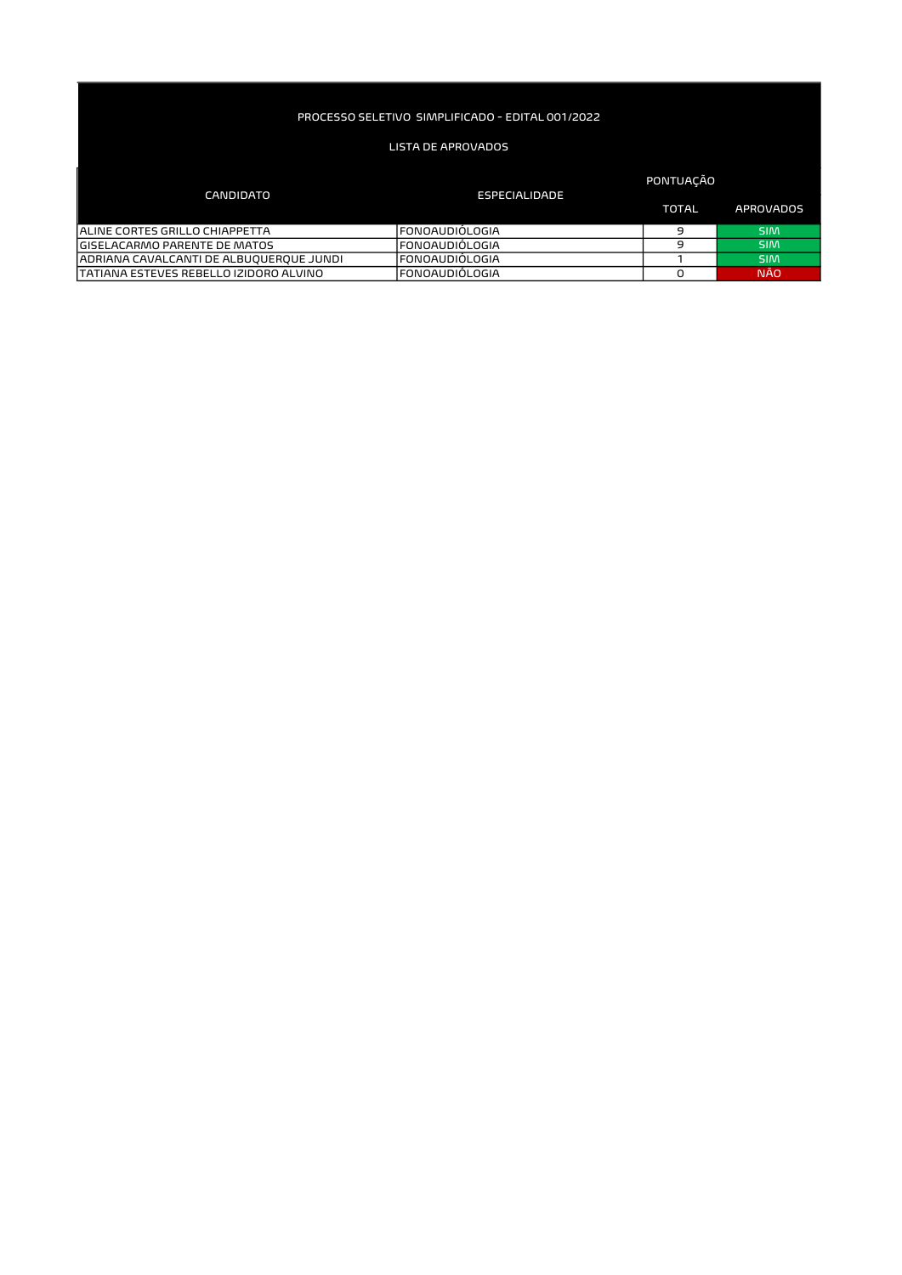# LISTA DE APROVADOS

### TOTAL APROVADOS ALINE CORTES GRILLO CHIAPPETTA FONO FONOAUDIÓLOGIA FONOAUDIÓLOGIA EN ENTREGADO EN SIM GISELACARMO PARENTE DE MATOS FONO FONOAUDIÓLOGIA EN ENTREGADO DE LOS SIMPLES DE LOS EN ENTREGADOS EN ENTREGADO ADRIANA CAVALCANTI DE ALBUQUERQUE JUNDI FONOAUDIÓLOGIA 1 SIM TATIANA ESTEVES REBELLO IZIDORO ALVINO FONOAUDIÓLOGIA DE ENSEGIADO DE LOS DE LOS DANDOS DA LOS DE LOS DANDOS D CANDIDATO ESPECIALIDADE PONTUAÇÃO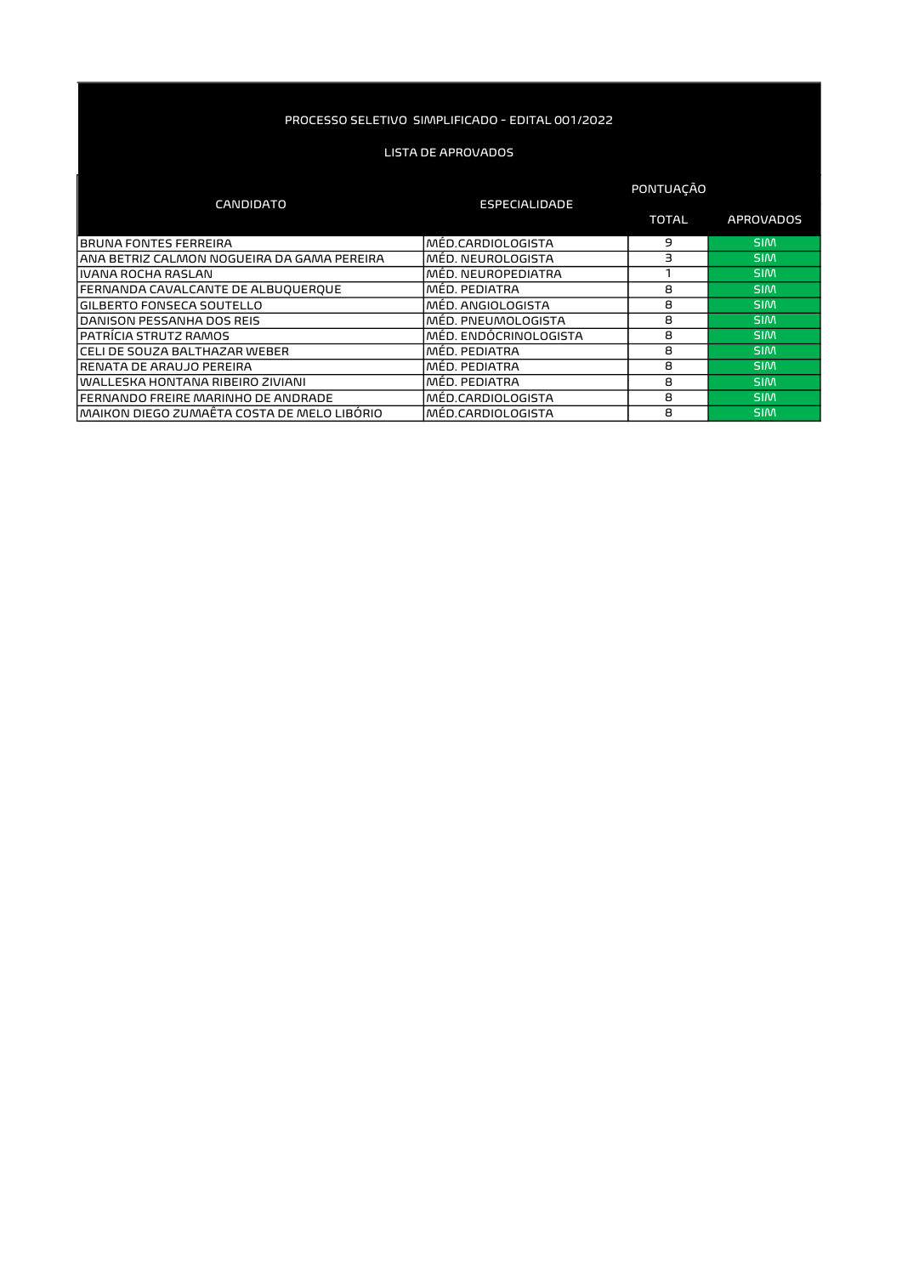|                                             |                        | <b>PONTUACAO</b> |                  |
|---------------------------------------------|------------------------|------------------|------------------|
| <b>CANDIDATO</b>                            | <b>ESPECIALIDADE</b>   |                  |                  |
|                                             |                        | <b>TOTAL</b>     | <b>APROVADOS</b> |
| <b>BRUNA FONTES FERREIRA</b>                | lMÉD.CARDIOLOGISTA     | 9                | <b>SIM</b>       |
| IANA BETRIZ CALMON NOGUEIRA DA GAMA PEREIRA | lMĖD. NEUROLOGISTA     | з                | <b>SIM</b>       |
| livana rocha raslan                         | MÉD. NEUROPEDIATRA     |                  | <b>SIM</b>       |
| <b>FERNANDA CAVALCANTE DE ALBUQUERQUE</b>   | MÉD. PEDIATRA          | 8                | <b>SIM</b>       |
| <b>GILBERTO FONSECA SOUTELLO</b>            | MÉD. ANGIOLOGISTA      | 8                | <b>SIM</b>       |
| DANISON PESSANHA DOS REIS                   | IMED. PNEUMOLOGISTA    | 8                | <b>SIM</b>       |
| IPATRICIA STRUTZ RAMOS                      | IMÉD. ENDÓCRINOLOGISTA | 8                | <b>SIM</b>       |
| lCELI DE SOUZA BALTHAZAR WEBER              | MÉD. PEDIATRA          | 8                | <b>SIM</b>       |
| IRENATA DE ARAUJO PEREIRA                   | MED. PEDIATRA          | 8                | <b>SIM</b>       |
| lwalleska hontana ribeiro ziviani           | MÉD. PEDIATRA          | 8                | <b>SIM</b>       |
| lFERNANDO FREIRE MARINHO DE ANDRADE         | MÉD.CARDIOLOGISTA      | 8                | <b>SIM</b>       |
| ÍMAIKON DIEGO ZUMAËTA COSTA DE MELO LIBÓRIO | lMÉD.CARDIOLOGISTA     | 8                | <b>SIM</b>       |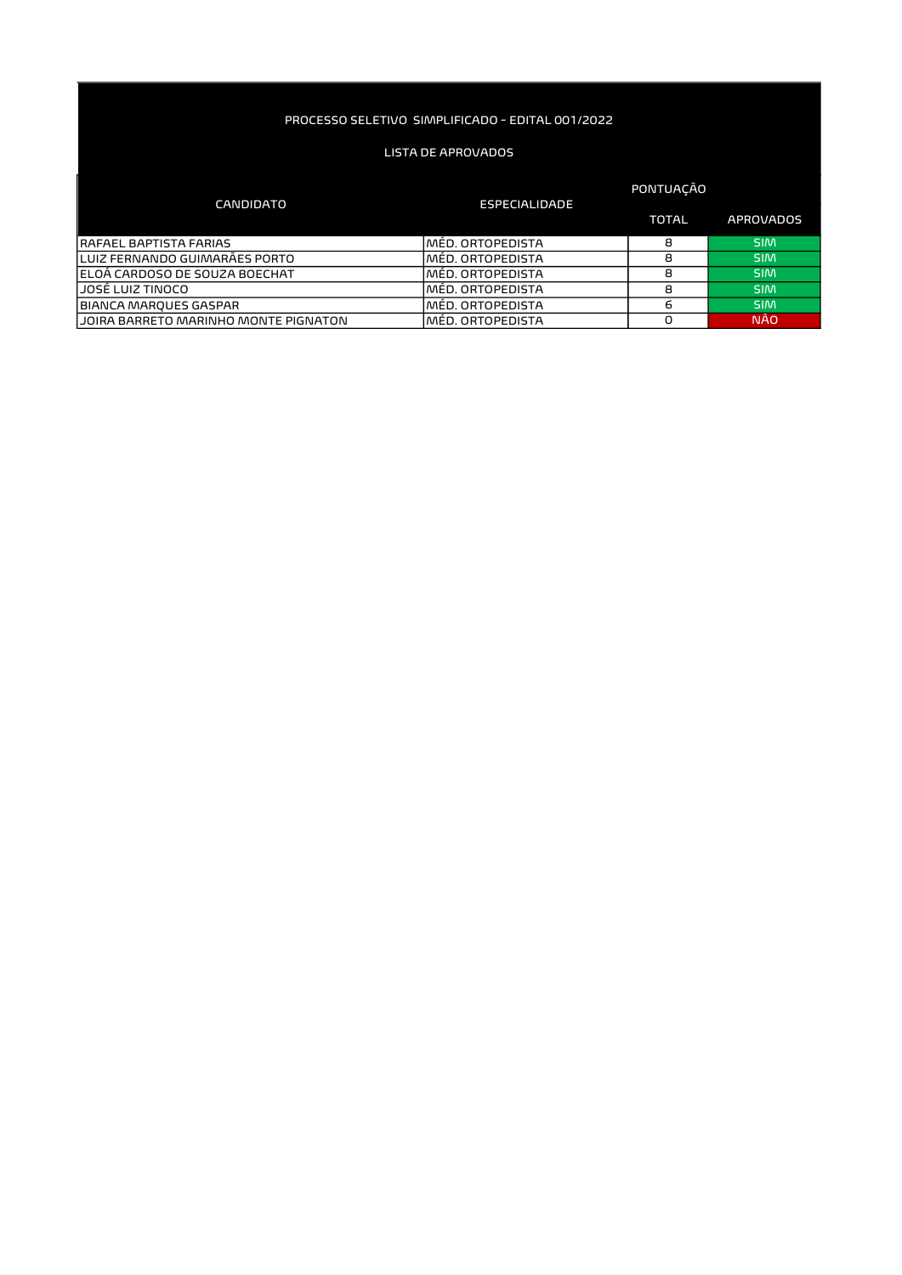| CANDIDATO                             | ESPECIALIDADE     | <b>PONTUACAO</b> |                  |
|---------------------------------------|-------------------|------------------|------------------|
|                                       |                   | <b>TOTAL</b>     | <b>APROVADOS</b> |
| <b>RAFAEL BAPTISTA FARIAS</b>         | lMĖD. ORTOPEDISTA | 8                | <b>SIM</b>       |
| ILUIZ FERNANDO GUIMARÃES PORTO        | MED. ORTOPEDISTA  | 8                | <b>SIM</b>       |
| IELOA CARDOSO DE SOUZA BOECHAT        | IMÉD. ORTOPEDISTA | 8                | <b>SIM</b>       |
| IJOSĖ LUIZ TINOCO                     | IMÉD. ORTOPEDISTA | 8                | <b>SIM</b>       |
| BIANCA MARQUES GASPAR                 | lMÉD. ORTOPEDISTA | 6                | <b>SIM</b>       |
| LJOIRA BARRETO MARINHO MONTE PIGNATON | IMED. ORTOPEDISTA | Ο                | <b>NÃO</b>       |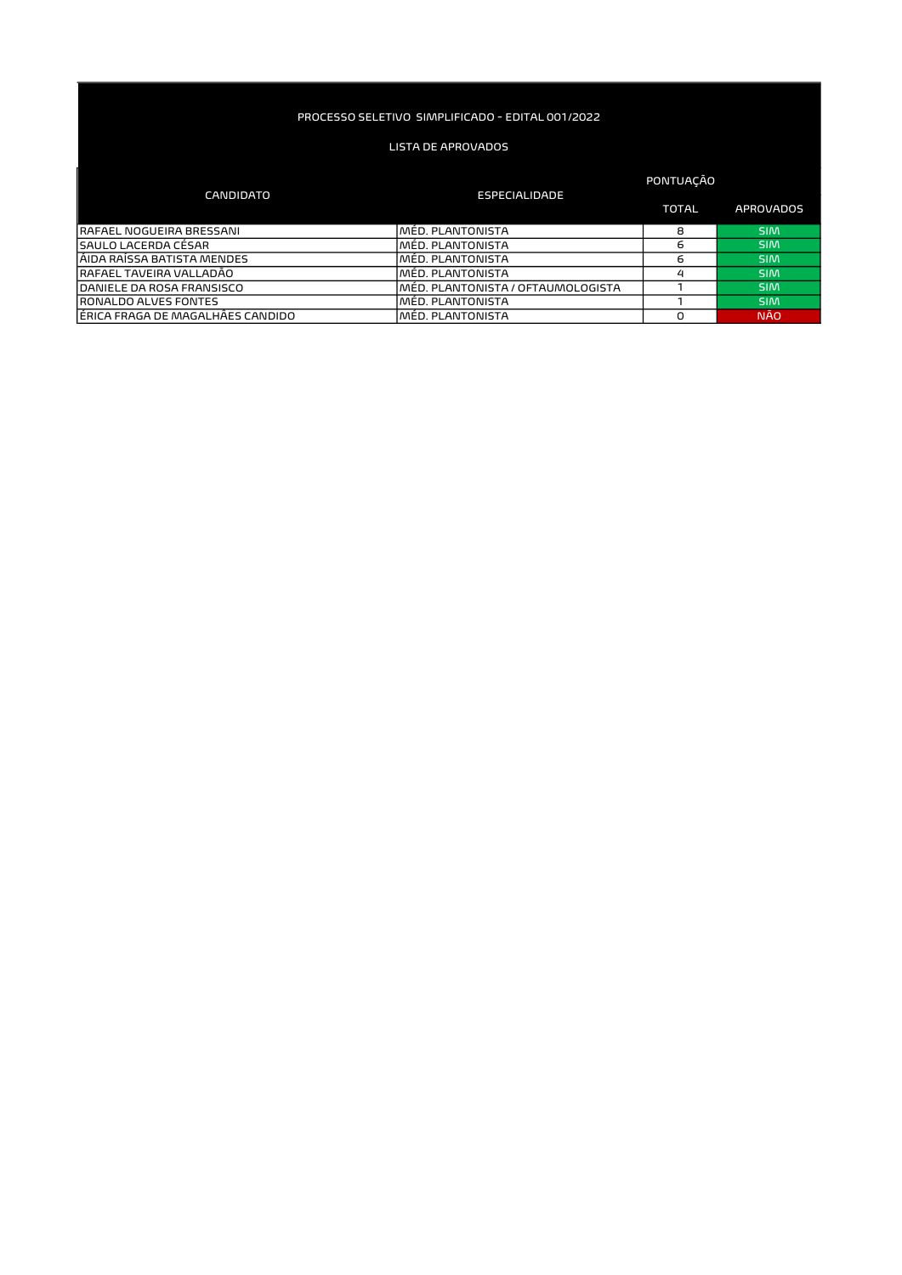### LISTA DE APROVADOS

#### TOTAL APROVADOS RAFAEL NOGUEIRA BRESSANI MÉD. PLANTONISTA 8 SIM SAULO LACERDA CÉSAR MÉD. PLANTONISTA 6 SIM ÁIDA RAÍSSA BATISTA MENDES MÉD. PLANTONISTA 6 SIM RAFAEL TAVEIRA VALLADÃO MÉD. PLANTONISTA 4 SIM MÉD. PLANTONISTA / OFTAUMOLOGISTA 1 SIM<br>DANÉD. PLANTONISTA 1 SIM RONALDO ALVES FONTES<br>LE ERICA FRAGA DE MAGALHÂES CANDIDO MÉD. PLANTONISTA DE LA POLITICA DE LA POLITICA DE LA POLITICA DE LA POLITI<br>LE ERICA FRAGA DE MAGALHÂES CANDIDO MÉD. PLANTONISTA DE LA POLITICA DE LA POLITICA DE LA P ÉRICA FRAGA DE MAGALHÂES CANDIDO MÉD. PLANTONISTA DE MAGALHA DO MÉD. PLANTONISTA DO MÉD. PLANTONISTA DE MAGALHA DO MÉD. PLANTONISTA DE MAGALHA DO MÉD. PLANTONISTA DE MAGALHA DE MAGALHA DO MÉD. PLANTONISTA DE MAGALHA DE MAG CANDIDATO ESPECIALIDADE PONTUAÇÃO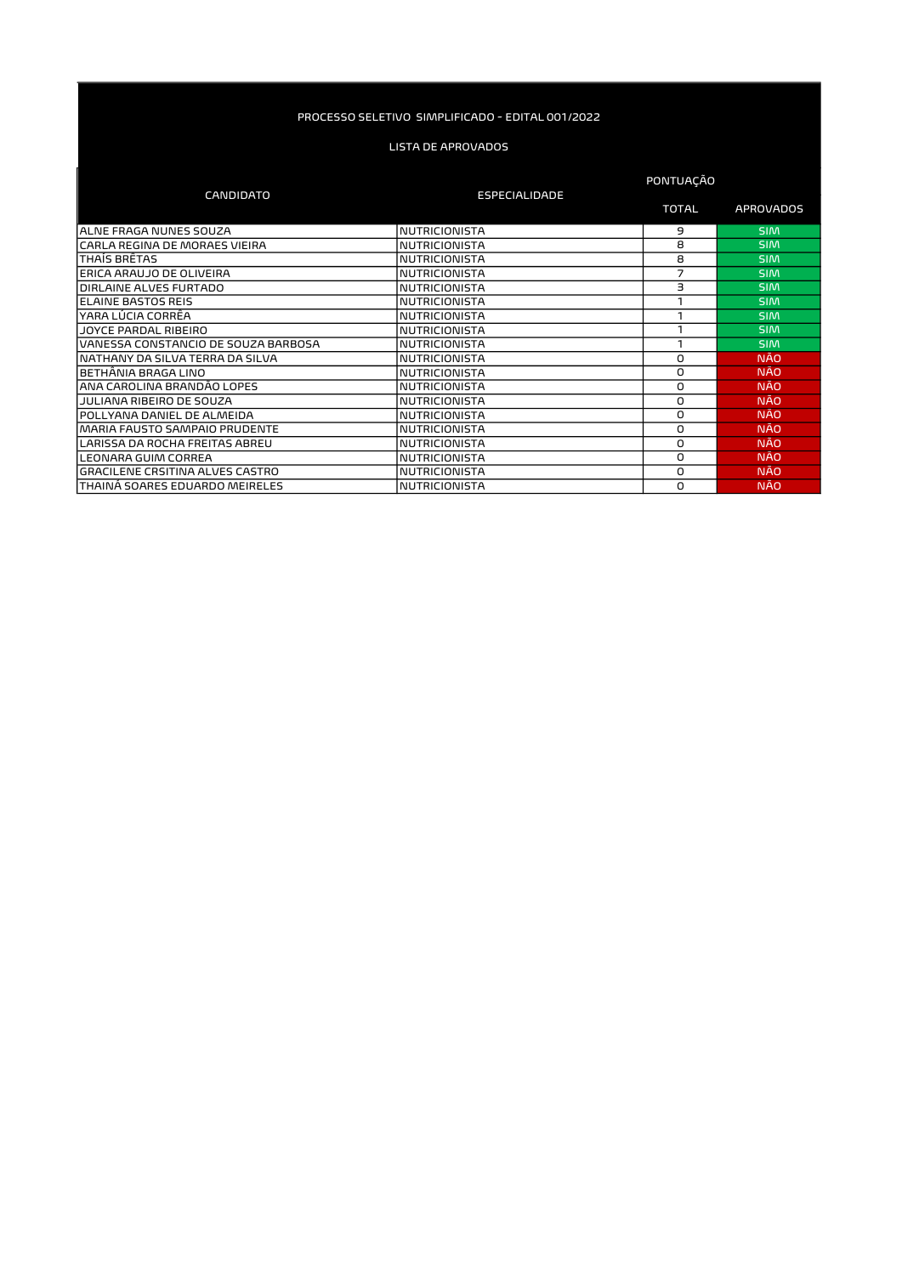|                                        |                      | PONTUAÇÃO    |                  |
|----------------------------------------|----------------------|--------------|------------------|
| <b>CANDIDATO</b>                       | <b>ESPECIALIDADE</b> | <b>TOTAL</b> | <b>APROVADOS</b> |
| ALNE FRAGA NUNES SOUZA                 | <b>NUTRICIONISTA</b> | 9            | <b>SIM</b>       |
| ICARLA REGINA DE MORAES VIEIRA         | <b>NUTRICIONISTA</b> | 8            | <b>SIM</b>       |
| THAÍS BRÊTAS                           | <b>NUTRICIONISTA</b> | 8            | <b>SIM</b>       |
| ERICA ARAUJO DE OLIVEIRA               | <b>NUTRICIONISTA</b> | 7            | <b>SIM</b>       |
| DIRLAINE ALVES FURTADO                 | <b>NUTRICIONISTA</b> | З            | <b>SIM</b>       |
| <b>IELAINE BASTOS REIS</b>             | <b>NUTRICIONISTA</b> |              | <b>SIM</b>       |
| lYARA LÚCIA CORRÊA                     | <b>NUTRICIONISTA</b> |              | <b>SIM</b>       |
| JOYCE PARDAL RIBEIRO                   | <b>NUTRICIONISTA</b> |              | <b>SIM</b>       |
| VANESSA CONSTANCIO DE SOUZA BARBOSA    | <b>NUTRICIONISTA</b> |              | <b>SIM</b>       |
| INATHANY DA SILVA TERRA DA SILVA       | <b>NUTRICIONISTA</b> | 0            | <b>NÃO</b>       |
| IBETHANIA BRAGA LINO                   | <b>NUTRICIONISTA</b> | 0            | <b>NÃO</b>       |
| ANA CAROLINA BRANDÃO LOPES             | <b>NUTRICIONISTA</b> | 0            | <b>NÃO</b>       |
| JULIANA RIBEIRO DE SOUZA               | <b>NUTRICIONISTA</b> | 0            | <b>NAO</b>       |
| POLLYANA DANIEL DE ALMEIDA             | <b>NUTRICIONISTA</b> | 0            | <b>NÃO</b>       |
| MARIA FAUSTO SAMPAIO PRUDENTE          | <b>NUTRICIONISTA</b> | 0            | <b>NÃO</b>       |
| LARISSA DA ROCHA FREITAS ABREU         | <b>NUTRICIONISTA</b> | 0            | <b>NÃO</b>       |
| LEONARA GUIM CORREA                    | <b>NUTRICIONISTA</b> | 0            | <b>NÃO</b>       |
| <b>GRACILENE CRSITINA ALVES CASTRO</b> | <b>NUTRICIONISTA</b> | 0            | <b>NÃO</b>       |
| <b>THAINA SOARES EDUARDO MEIRELES</b>  | <b>NUTRICIONISTA</b> | O            | <b>NÃO</b>       |